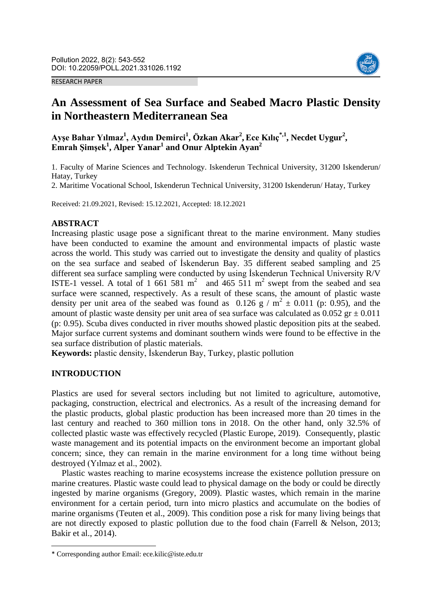#### RESEARCH PAPER



# **An Assessment of Sea Surface and Seabed Macro Plastic Density in Northeastern Mediterranean Sea**

**Ayşe Bahar Yılmaz<sup>1</sup> , Aydın Demirci<sup>1</sup> , Özkan Akar<sup>2</sup> ,Ece Kılıç\*,1 , Necdet Uygur<sup>2</sup> , Emrah Şimşek<sup>1</sup> , Alper Yanar<sup>1</sup> and Onur Alptekin Ayan<sup>2</sup>**

1. Faculty of Marine Sciences and Technology. Iskenderun Technical University, 31200 Iskenderun/ Hatay, Turkey

2. Maritime Vocational School, Iskenderun Technical University, 31200 Iskenderun/ Hatay, Turkey

Received: 21.09.2021, Revised: 15.12.2021, Accepted: 18.12.2021

#### **ABSTRACT**

Increasing plastic usage pose a significant threat to the marine environment. Many studies have been conducted to examine the amount and environmental impacts of plastic waste across the world. This study was carried out to investigate the density and quality of plastics on the sea surface and seabed of İskenderun Bay. 35 different seabed sampling and 25 different sea surface sampling were conducted by using İskenderun Technical University R/V ISTE-1 vessel. A total of  $1,661,581 \text{ m}^2$  and  $465,511 \text{ m}^2$  swept from the seabed and sea surface were scanned, respectively. As a result of these scans, the amount of plastic waste density per unit area of the seabed was found as  $0.126 \text{ g} / \text{m}^2 \pm 0.011$  (p: 0.95), and the amount of plastic waste density per unit area of sea surface was calculated as  $0.052$  gr  $\pm 0.011$ (p: 0.95). Scuba dives conducted in river mouths showed plastic deposition pits at the seabed. Major surface current systems and dominant southern winds were found to be effective in the sea surface distribution of plastic materials.

**Keywords:** plastic density, İskenderun Bay, Turkey, plastic pollution

#### **INTRODUCTION**

**.** 

Plastics are used for several sectors including but not limited to agriculture, automotive, packaging, construction, electrical and electronics. As a result of the increasing demand for the plastic products, global plastic production has been increased more than 20 times in the last century and reached to 360 million tons in 2018. On the other hand, only 32.5% of collected plastic waste was effectively recycled (Plastic Europe, 2019). Consequently, plastic waste management and its potential impacts on the environment become an important global concern; since, they can remain in the marine environment for a long time without being destroyed (Yılmaz et al., 2002).

Plastic wastes reaching to marine ecosystems increase the existence pollution pressure on marine creatures. Plastic waste could lead to physical damage on the body or could be directly ingested by marine organisms (Gregory, 2009). Plastic wastes, which remain in the marine environment for a certain period, turn into micro plastics and accumulate on the bodies of marine organisms (Teuten et al., 2009). This condition pose a risk for many living beings that are not directly exposed to plastic pollution due to the food chain (Farrell & Nelson, 2013; Bakir et al., 2014).

<sup>\*</sup> Corresponding author Email: ece.kilic@iste.edu.tr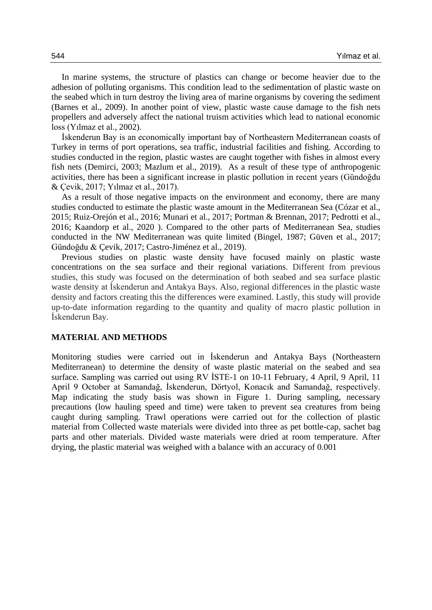In marine systems, the structure of plastics can change or become heavier due to the adhesion of polluting organisms. This condition lead to the sedimentation of plastic waste on the seabed which in turn destroy the living area of marine organisms by covering the sediment (Barnes et al., 2009). In another point of view, plastic waste cause damage to the fish nets propellers and adversely affect the national truism activities which lead to national economic loss (Yılmaz et al., 2002).

İskenderun Bay is an economically important bay of Northeastern Mediterranean coasts of Turkey in terms of port operations, sea traffic, industrial facilities and fishing. According to studies conducted in the region, plastic wastes are caught together with fishes in almost every fish nets (Demirci, 2003; Mazlum et al., 2019). As a result of these type of anthropogenic activities, there has been a significant increase in plastic pollution in recent years (Gündoğdu & Çevik, 2017; Yılmaz et al., 2017).

As a result of those negative impacts on the environment and economy, there are many studies conducted to estimate the plastic waste amount in the Mediterranean Sea (Cózar et al., 2015; Ruiz-Orejón et al., 2016; Munari et al., 2017; Portman & Brennan, 2017; Pedrotti et al., 2016; Kaandorp et al., 2020 ). Compared to the other parts of Mediterranean Sea, studies conducted in the NW Mediterranean was quite limited (Bingel, 1987; Güven et al., 2017; Gündoğdu & Çevik, 2017; Castro-Jiménez et al., 2019).

Previous studies on plastic waste density have focused mainly on plastic waste concentrations on the sea surface and their regional variations. Different from previous studies, this study was focused on the determination of both seabed and sea surface plastic waste density at İskenderun and Antakya Bays. Also, regional differences in the plastic waste density and factors creating this the differences were examined. Lastly, this study will provide up-to-date information regarding to the quantity and quality of macro plastic pollution in İskenderun Bay.

#### **MATERIAL AND METHODS**

Monitoring studies were carried out in İskenderun and Antakya Bays (Northeastern Mediterranean) to determine the density of waste plastic material on the seabed and sea surface. Sampling was carried out using RV İSTE-1 on 10-11 February, 4 April, 9 April, 11 April 9 October at Samandağ, İskenderun, Dörtyol, Konacık and Samandağ, respectively. Map indicating the study basis was shown in Figure 1. During sampling, necessary precautions (low hauling speed and time) were taken to prevent sea creatures from being caught during sampling. Trawl operations were carried out for the collection of plastic material from Collected waste materials were divided into three as pet bottle-cap, sachet bag parts and other materials. Divided waste materials were dried at room temperature. After drying, the plastic material was weighed with a balance with an accuracy of 0.001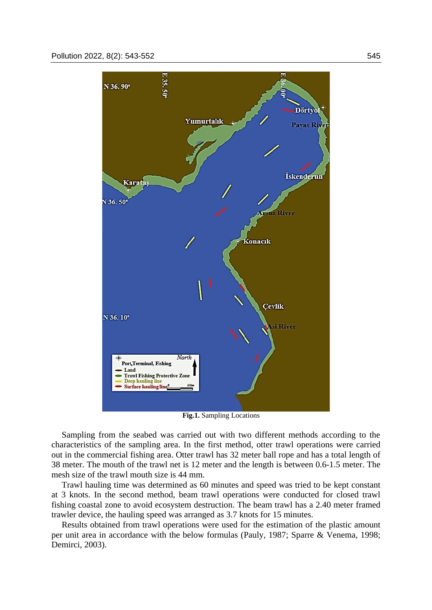

**Fig.1.** Sampling Locations

Sampling from the seabed was carried out with two different methods according to the characteristics of the sampling area. In the first method, otter trawl operations were carried out in the commercial fishing area. Otter trawl has 32 meter ball rope and has a total length of 38 meter. The mouth of the trawl net is 12 meter and the length is between 0.6-1.5 meter. The mesh size of the trawl mouth size is 44 mm.

Trawl hauling time was determined as 60 minutes and speed was tried to be kept constant at 3 knots. In the second method, beam trawl operations were conducted for closed trawl fishing coastal zone to avoid ecosystem destruction. The beam trawl has a 2.40 meter framed trawler device, the hauling speed was arranged as 3.7 knots for 15 minutes.

Results obtained from trawl operations were used for the estimation of the plastic amount per unit area in accordance with the below formulas (Pauly, 1987; Sparre & Venema, 1998; Demirci, 2003).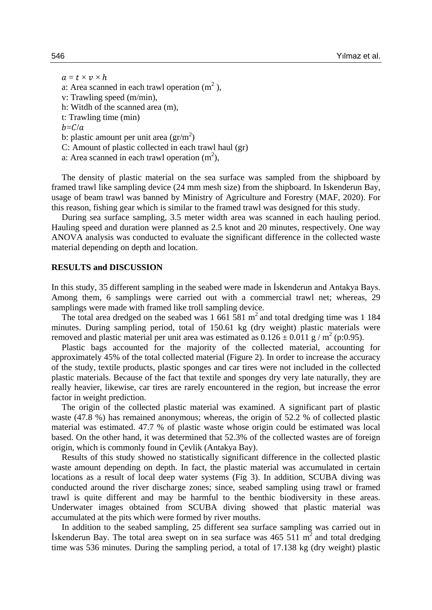$a = t \times v \times h$ a: Area scanned in each trawl operation  $(m^2)$ , v: Trawling speed (m/min), h: Witdh of the scanned area (m), t: Trawling time (min)  $b=C/a$ b: plastic amount per unit area  $(\text{gr/m}^2)$ C: Amount of plastic collected in each trawl haul (gr) a: Area scanned in each trawl operation  $(m^2)$ ,

The density of plastic material on the sea surface was sampled from the shipboard by framed trawl like sampling device (24 mm mesh size) from the shipboard. In Iskenderun Bay, usage of beam trawl was banned by Ministry of Agriculture and Forestry (MAF, 2020). For this reason, fishing gear which is similar to the framed trawl was designed for this study.

During sea surface sampling, 3.5 meter width area was scanned in each hauling period. Hauling speed and duration were planned as 2.5 knot and 20 minutes, respectively. One way ANOVA analysis was conducted to evaluate the significant difference in the collected waste material depending on depth and location.

#### **RESULTS and DISCUSSION**

In this study, 35 different sampling in the seabed were made in İskenderun and Antakya Bays. Among them, 6 samplings were carried out with a commercial trawl net; whereas, 29 samplings were made with framed like troll sampling device.

The total area dredged on the seabed was  $1\,661\,581\,\mathrm{m}^2$  and total dredging time was  $1\,184$ minutes. During sampling period, total of 150.61 kg (dry weight) plastic materials were removed and plastic material per unit area was estimated as  $0.126 \pm 0.011$  g / m<sup>2</sup> (p:0.95).

Plastic bags accounted for the majority of the collected material, accounting for approximately 45% of the total collected material (Figure 2). In order to increase the accuracy of the study, textile products, plastic sponges and car tires were not included in the collected plastic materials. Because of the fact that textile and sponges dry very late naturally, they are really heavier, likewise, car tires are rarely encountered in the region, but increase the error factor in weight prediction.

The origin of the collected plastic material was examined. A significant part of plastic waste (47.8 %) has remained anonymous; whereas, the origin of 52.2 % of collected plastic material was estimated. 47.7 % of plastic waste whose origin could be estimated was local based. On the other hand, it was determined that 52.3% of the collected wastes are of foreign origin, which is commonly found in Çevlik (Antakya Bay).

Results of this study showed no statistically significant difference in the collected plastic waste amount depending on depth. In fact, the plastic material was accumulated in certain locations as a result of local deep water systems (Fig 3). In addition, SCUBA diving was conducted around the river discharge zones; since, seabed sampling using trawl or framed trawl is quite different and may be harmful to the benthic biodiversity in these areas. Underwater images obtained from SCUBA diving showed that plastic material was accumulated at the pits which were formed by river mouths.

In addition to the seabed sampling, 25 different sea surface sampling was carried out in Iskenderun Bay. The total area swept on in sea surface was  $465\,511\,\mathrm{m}^2$  and total dredging time was 536 minutes. During the sampling period, a total of 17.138 kg (dry weight) plastic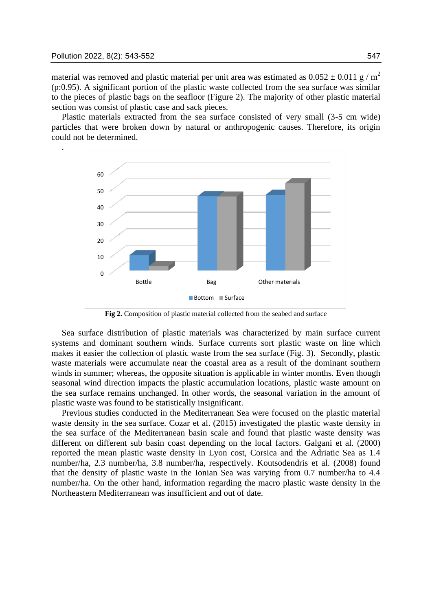.

material was removed and plastic material per unit area was estimated as  $0.052 \pm 0.011$  g / m<sup>2</sup> (p:0.95). A significant portion of the plastic waste collected from the sea surface was similar to the pieces of plastic bags on the seafloor (Figure 2). The majority of other plastic material section was consist of plastic case and sack pieces.

Plastic materials extracted from the sea surface consisted of very small (3-5 cm wide) particles that were broken down by natural or anthropogenic causes. Therefore, its origin could not be determined.



**Fig 2.** Composition of plastic material collected from the seabed and surface

Sea surface distribution of plastic materials was characterized by main surface current systems and dominant southern winds. Surface currents sort plastic waste on line which makes it easier the collection of plastic waste from the sea surface (Fig. 3). Secondly, plastic waste materials were accumulate near the coastal area as a result of the dominant southern winds in summer; whereas, the opposite situation is applicable in winter months. Even though seasonal wind direction impacts the plastic accumulation locations, plastic waste amount on the sea surface remains unchanged. In other words, the seasonal variation in the amount of plastic waste was found to be statistically insignificant.

Previous studies conducted in the Mediterranean Sea were focused on the plastic material waste density in the sea surface. Cozar et al. (2015) investigated the plastic waste density in the sea surface of the Mediterranean basin scale and found that plastic waste density was different on different sub basin coast depending on the local factors. Galgani et al. (2000) reported the mean plastic waste density in Lyon cost, Corsica and the Adriatic Sea as 1.4 number/ha, 2.3 number/ha, 3.8 number/ha, respectively. Koutsodendris et al. (2008) found that the density of plastic waste in the Ionian Sea was varying from 0.7 number/ha to 4.4 number/ha. On the other hand, information regarding the macro plastic waste density in the Northeastern Mediterranean was insufficient and out of date.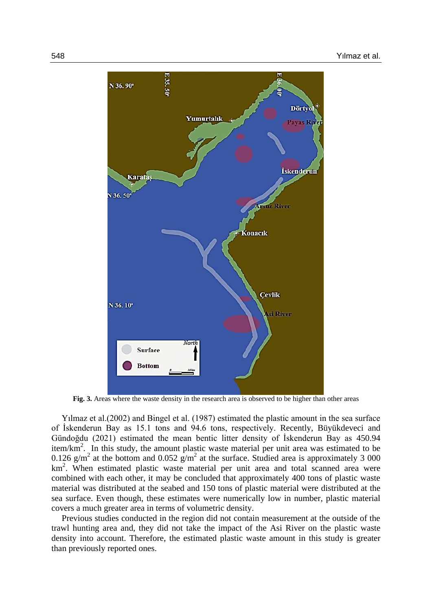

**Fig. 3.** Areas where the waste density in the research area is observed to be higher than other areas

Yılmaz et al.(2002) and Bingel et al. (1987) estimated the plastic amount in the sea surface of İskenderun Bay as 15.1 tons and 94.6 tons, respectively. Recently, Büyükdeveci and Gündoğdu (2021) estimated the mean bentic litter density of İskenderun Bay as 450.94 item/km<sup>2</sup>. In this study, the amount plastic waste material per unit area was estimated to be 0.126  $g/m^2$  at the bottom and 0.052  $g/m^2$  at the surface. Studied area is approximately 3 000 km<sup>2</sup>. When estimated plastic waste material per unit area and total scanned area were combined with each other, it may be concluded that approximately 400 tons of plastic waste material was distributed at the seabed and 150 tons of plastic material were distributed at the sea surface. Even though, these estimates were numerically low in number, plastic material covers a much greater area in terms of volumetric density.

Previous studies conducted in the region did not contain measurement at the outside of the trawl hunting area and, they did not take the impact of the Asi River on the plastic waste density into account. Therefore, the estimated plastic waste amount in this study is greater than previously reported ones.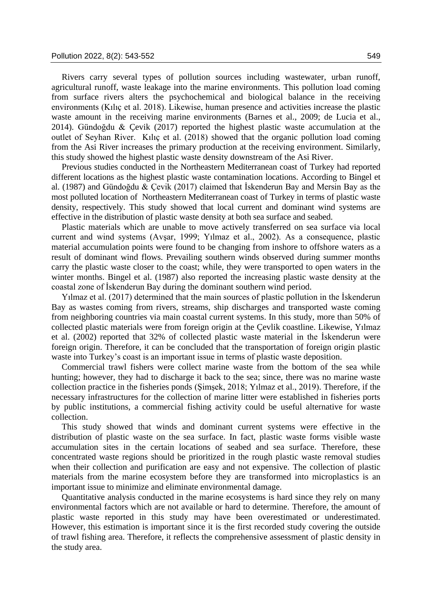Rivers carry several types of pollution sources including wastewater, urban runoff, agricultural runoff, waste leakage into the marine environments. This pollution load coming from surface rivers alters the psychochemical and biological balance in the receiving environments (Kılıç et al. 2018). Likewise, human presence and activities increase the plastic waste amount in the receiving marine environments (Barnes et al., 2009; de Lucia et al., 2014). Gündoğdu & Çevik (2017) reported the highest plastic waste accumulation at the outlet of Seyhan River. Kılıç et al. (2018) showed that the organic pollution load coming from the Asi River increases the primary production at the receiving environment. Similarly, this study showed the highest plastic waste density downstream of the Asi River.

Previous studies conducted in the Northeastern Mediterranean coast of Turkey had reported different locations as the highest plastic waste contamination locations. According to Bingel et al. (1987) and Gündoğdu & Çevik (2017) claimed that İskenderun Bay and Mersin Bay as the most polluted location of Northeastern Mediterranean coast of Turkey in terms of plastic waste density, respectively. This study showed that local current and dominant wind systems are effective in the distribution of plastic waste density at both sea surface and seabed.

Plastic materials which are unable to move actively transferred on sea surface via local current and wind systems (Avşar, 1999; Yılmaz et al., 2002). As a consequence, plastic material accumulation points were found to be changing from inshore to offshore waters as a result of dominant wind flows. Prevailing southern winds observed during summer months carry the plastic waste closer to the coast; while, they were transported to open waters in the winter months. Bingel et al. (1987) also reported the increasing plastic waste density at the coastal zone of İskenderun Bay during the dominant southern wind period.

Yılmaz et al. (2017) determined that the main sources of plastic pollution in the İskenderun Bay as wastes coming from rivers, streams, ship discharges and transported waste coming from neighboring countries via main coastal current systems. In this study, more than 50% of collected plastic materials were from foreign origin at the Çevlik coastline. Likewise, Yılmaz et al. (2002) reported that 32% of collected plastic waste material in the İskenderun were foreign origin. Therefore, it can be concluded that the transportation of foreign origin plastic waste into Turkey's coast is an important issue in terms of plastic waste deposition.

Commercial trawl fishers were collect marine waste from the bottom of the sea while hunting; however, they had to discharge it back to the sea; since, there was no marine waste collection practice in the fisheries ponds (Şimşek, 2018; Yılmaz et al., 2019). Therefore, if the necessary infrastructures for the collection of marine litter were established in fisheries ports by public institutions, a commercial fishing activity could be useful alternative for waste collection.

This study showed that winds and dominant current systems were effective in the distribution of plastic waste on the sea surface. In fact, plastic waste forms visible waste accumulation sites in the certain locations of seabed and sea surface. Therefore, these concentrated waste regions should be prioritized in the rough plastic waste removal studies when their collection and purification are easy and not expensive. The collection of plastic materials from the marine ecosystem before they are transformed into microplastics is an important issue to minimize and eliminate environmental damage.

Quantitative analysis conducted in the marine ecosystems is hard since they rely on many environmental factors which are not available or hard to determine. Therefore, the amount of plastic waste reported in this study may have been overestimated or underestimated. However, this estimation is important since it is the first recorded study covering the outside of trawl fishing area. Therefore, it reflects the comprehensive assessment of plastic density in the study area.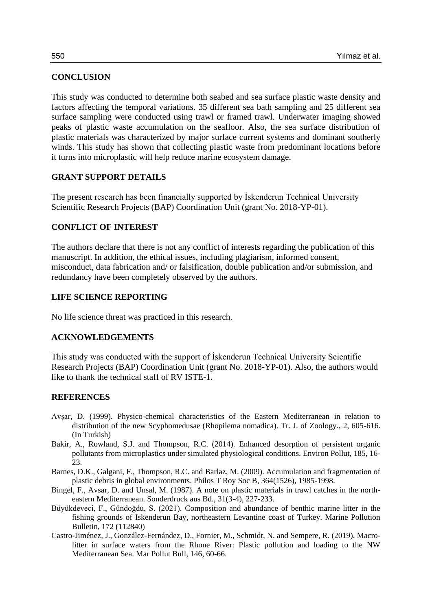## **CONCLUSION**

This study was conducted to determine both seabed and sea surface plastic waste density and factors affecting the temporal variations. 35 different sea bath sampling and 25 different sea surface sampling were conducted using trawl or framed trawl. Underwater imaging showed peaks of plastic waste accumulation on the seafloor. Also, the sea surface distribution of plastic materials was characterized by major surface current systems and dominant southerly winds. This study has shown that collecting plastic waste from predominant locations before it turns into microplastic will help reduce marine ecosystem damage.

## **GRANT SUPPORT DETAILS**

The present research has been financially supported by İskenderun Technical University Scientific Research Projects (BAP) Coordination Unit (grant No. 2018-YP-01).

## **CONFLICT OF INTEREST**

The authors declare that there is not any conflict of interests regarding the publication of this manuscript. In addition, the ethical issues, including plagiarism, informed consent, misconduct, data fabrication and/ or falsification, double publication and/or submission, and redundancy have been completely observed by the authors.

## **LIFE SCIENCE REPORTING**

No life science threat was practiced in this research.

## **ACKNOWLEDGEMENTS**

This study was conducted with the support of İskenderun Technical University Scientific Research Projects (BAP) Coordination Unit (grant No. 2018-YP-01). Also, the authors would like to thank the technical staff of RV ISTE-1.

## **REFERENCES**

- Avşar, D. (1999). Physico-chemical characteristics of the Eastern Mediterranean in relation to distribution of the new Scyphomedusae (Rhopilema nomadica). Tr. J. of Zoology., 2, 605-616. (In Turkish)
- Bakir, A., Rowland, S.J. and Thompson, R.C. (2014). Enhanced desorption of persistent organic pollutants from microplastics under simulated physiological conditions. Environ Pollut, 185, 16- 23.
- Barnes, D.K., Galgani, F., Thompson, R.C. and Barlaz, M. (2009). Accumulation and fragmentation of plastic debris in global environments. Philos T Roy Soc B, 364(1526), 1985-1998.
- Bingel, F., Avsar, D. and Unsal, M. (1987). A note on plastic materials in trawl catches in the northeastern Mediterranean. Sonderdruck aus Bd., 31(3-4), 227-233.
- Büyükdeveci, F., Gündoğdu, S. (2021). Composition and abundance of benthic marine litter in the fishing grounds of Iskenderun Bay, northeastern Levantine coast of Turkey. Marine Pollution Bulletin, 172 (112840)
- Castro-Jiménez, J., González-Fernández, D., Fornier, M., Schmidt, N. and Sempere, R. (2019). Macrolitter in surface waters from the Rhone River: Plastic pollution and loading to the NW Mediterranean Sea. Mar Pollut Bull, 146, 60-66.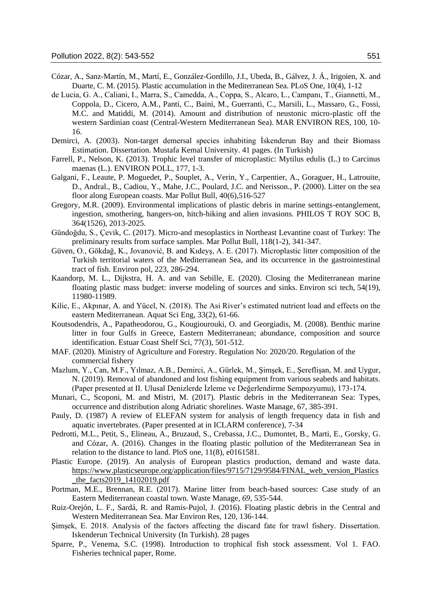- Cózar, A., Sanz-Martín, M., Martí, E., González-Gordillo, J.I., Ubeda, B., Gálvez, J. Á., Irigoien, X. and Duarte, C. M. (2015). Plastic accumulation in the Mediterranean Sea. PLoS One, 10(4), 1-12
- de Lucia, G. A., Caliani, I., Marra, S., Camedda, A., Coppa, S., Alcaro, L., Campanı, T., Giannetti, M., Coppola, D., Cicero, A.M., Panti, C., Baini, M., Guerranti, C., Marsili, L., Massaro, G., Fossi, M.C. and Matiddi, M. (2014). Amount and distribution of neustonic micro-plastic off the western Sardinian coast (Central-Western Mediterranean Sea). MAR ENVIRON RES, 100, 10- 16.
- Demirci, A. (2003). Non-target demersal species inhabiting İskenderun Bay and their Biomass Estimation. Dissertation. Mustafa Kemal University. 41 pages. (In Turkish)
- Farrell, P., Nelson, K. (2013). Trophic level transfer of microplastic: Mytilus edulis (L.) to Carcinus maenas (L.). ENVIRON POLL, 177, 1-3.
- Galgani, F., Leaute, P. Moguedet, P., Souplet, A., Verin, Y., Carpentier, A., Goraguer, H., Latrouite, D., Andral., B., Cadiou, Y., Mahe, J.C., Poulard, J.C. and Nerisson., P. (2000). Litter on the sea floor along European coasts. Mar Pollut Bull, 40(6),516-527
- Gregory, M.R. (2009). Environmental implications of plastic debris in marine settings-entanglement, ingestion, smothering, hangers-on, hitch-hiking and alien invasions. PHILOS T ROY SOC B, 364(1526), 2013-2025.
- Gündoğdu, S., Çevik, C. (2017). Micro-and mesoplastics in Northeast Levantine coast of Turkey: The preliminary results from surface samples. Mar Pollut Bull, 118(1-2), 341-347.
- Güven, O., Gökdağ, K., Jovanović, B. and Kıdeyş, A. E. (2017). Microplastic litter composition of the Turkish territorial waters of the Mediterranean Sea, and its occurrence in the gastrointestinal tract of fish*.* Environ pol, 223, 286-294.
- Kaandorp, M. L., Dijkstra, H. A. and van Sebille, E. (2020). Closing the Mediterranean marine floating plastic mass budget: inverse modeling of sources and sinks. Environ sci tech, 54(19), 11980-11989.
- Kilic, E., Akpınar, A. and Yücel, N. (2018). The Asi River's estimated nutrient load and effects on the eastern Mediterranean. Aquat Sci Eng, 33(2), 61-66.
- Koutsodendris, A., Papatheodorou, G., Kougiourouki, O. and Georgiadis, M. (2008). Benthic marine litter in four Gulfs in Greece, Eastern Mediterranean; abundance, composition and source identification. Estuar Coast Shelf Sci, 77(3), 501-512.
- MAF. (2020). Ministry of Agriculture and Forestry. Regulation No: 2020/20. Regulation of the commercial fishery
- Mazlum, Y., Can, M.F., Yılmaz, A.B., Demirci, A., Gürlek, M., Şimşek, E., Şereflişan, M. and Uygur, N. (2019). Removal of abandoned and lost fishing equipment from various seabeds and habitats. (Paper presented at II. Ulusal Denizlerde İzleme ve Değerlendirme Sempozyumu), 173-174.
- Munari, C., Scoponi, M. and Mistri, M. (2017). Plastic debris in the Mediterranean Sea: Types, occurrence and distribution along Adriatic shorelines. Waste Manage, 67, 385-391.
- Pauly, D. (1987) A review of ELEFAN system for analysis of length frequency data in fish and aquatic invertebrates. (Paper presented at in ICLARM conference), 7-34
- Pedrotti, M.L., Petit, S., Elineau, A., Bruzaud, S., Crebassa, J.C., Dumontet, B., Marti, E., Gorsky, G. and Cózar, A. (2016). Changes in the floating plastic pollution of the Mediterranean Sea in relation to the distance to land. PloS one, 11(8), e0161581.
- Plastic Europe. (2019). An analysis of European plastics production, demand and waste data. https://www.plasticseurope.org/application/files/9715/7129/9584/FINAL\_web\_version\_Plastics \_the\_facts2019\_14102019.pdf
- Portman, M.E., Brennan, R.E. (2017). Marine litter from beach-based sources: Case study of an Eastern Mediterranean coastal town. Waste Manage, *69*, 535-544.
- Ruiz-Orejón, L. F., Sardá, R. and Ramis-Pujol, J. (2016). Floating plastic debris in the Central and Western Mediterranean Sea. Mar Environ Res, 120, 136-144.
- Şimşek, E. 2018. Analysis of the factors affecting the discard fate for trawl fishery. Dissertation. Iskenderun Technical University (In Turkish). 28 pages
- Sparre, P., Venema, S.C. (1998). Introduction to trophical fish stock assessment. Vol 1. FAO. Fisheries technical paper, Rome.